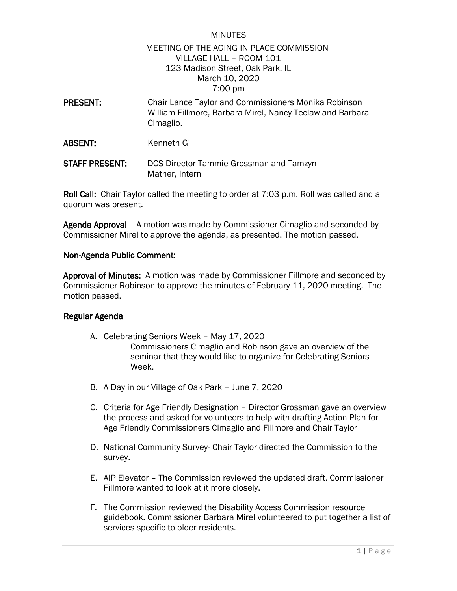## MINUTES MEETING OF THE AGING IN PLACE COMMISSION VILLAGE HALL – ROOM 101 123 Madison Street, Oak Park, IL March 10, 2020 7:00 pm

- PRESENT: Chair Lance Taylor and Commissioners Monika Robinson William Fillmore, Barbara Mirel, Nancy Teclaw and Barbara Cimaglio.
- ABSENT: Kenneth Gill
- STAFF PRESENT: DCS Director Tammie Grossman and Tamzyn Mather, Intern

Roll Call: Chair Taylor called the meeting to order at 7:03 p.m. Roll was called and a quorum was present.

Agenda Approval – A motion was made by Commissioner Cimaglio and seconded by Commissioner Mirel to approve the agenda, as presented. The motion passed.

## Non-Agenda Public Comment:

Approval of Minutes: A motion was made by Commissioner Fillmore and seconded by Commissioner Robinson to approve the minutes of February 11, 2020 meeting. The motion passed.

## Regular Agenda

- A. Celebrating Seniors Week May 17, 2020 Commissioners Cimaglio and Robinson gave an overview of the seminar that they would like to organize for Celebrating Seniors Week.
- B. A Day in our Village of Oak Park June 7, 2020
- C. Criteria for Age Friendly Designation Director Grossman gave an overview the process and asked for volunteers to help with drafting Action Plan for Age Friendly Commissioners Cimaglio and Fillmore and Chair Taylor
- D. National Community Survey- Chair Taylor directed the Commission to the survey.
- E. AIP Elevator The Commission reviewed the updated draft. Commissioner Fillmore wanted to look at it more closely.
- F. The Commission reviewed the Disability Access Commission resource guidebook. Commissioner Barbara Mirel volunteered to put together a list of services specific to older residents.